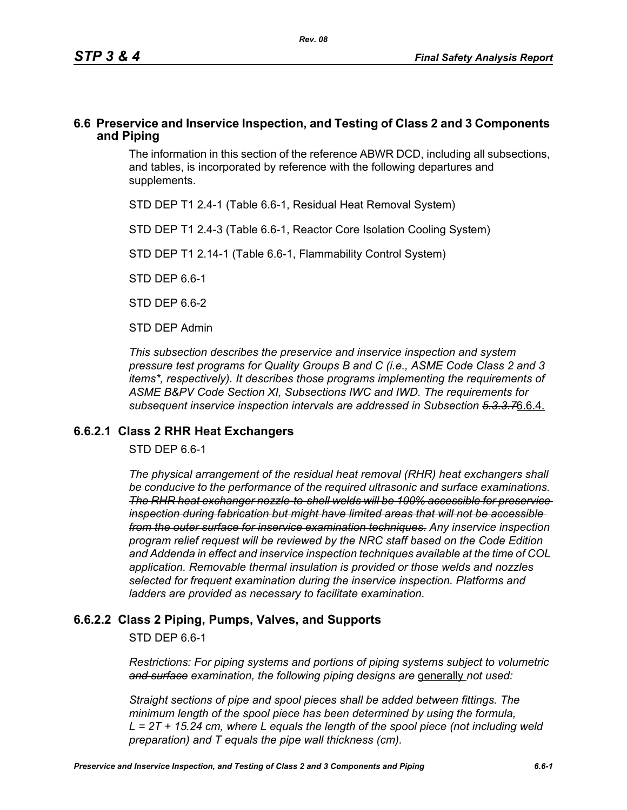### **6.6 Preservice and Inservice Inspection, and Testing of Class 2 and 3 Components and Piping**

The information in this section of the reference ABWR DCD, including all subsections, and tables, is incorporated by reference with the following departures and supplements.

STD DEP T1 2.4-1 (Table 6.6-1, Residual Heat Removal System)

STD DEP T1 2.4-3 (Table 6.6-1, Reactor Core Isolation Cooling System)

STD DEP T1 2.14-1 (Table 6.6-1, Flammability Control System)

STD DEP 6.6-1

STD DFP 6 6-2

STD DEP Admin

*This subsection describes the preservice and inservice inspection and system pressure test programs for Quality Groups B and C (i.e., ASME Code Class 2 and 3 items\*, respectively). It describes those programs implementing the requirements of ASME B&PV Code Section XI, Subsections IWC and IWD. The requirements for subsequent inservice inspection intervals are addressed in Subsection 5.3.3.7*6.6.4.

### **6.6.2.1 Class 2 RHR Heat Exchangers**

STD DEP 6.6-1

*The physical arrangement of the residual heat removal (RHR) heat exchangers shall be conducive to the performance of the required ultrasonic and surface examinations. The RHR heat exchanger nozzle-to-shell welds will be 100% accessible for preservice inspection during fabrication but might have limited areas that will not be accessible from the outer surface for inservice examination techniques. Any inservice inspection program relief request will be reviewed by the NRC staff based on the Code Edition and Addenda in effect and inservice inspection techniques available at the time of COL application. Removable thermal insulation is provided or those welds and nozzles selected for frequent examination during the inservice inspection. Platforms and ladders are provided as necessary to facilitate examination.*

# **6.6.2.2 Class 2 Piping, Pumps, Valves, and Supports**

STD DEP 6.6-1

*Restrictions: For piping systems and portions of piping systems subject to volumetric*  and surface examination, the following piping designs are generally not used:

*Straight sections of pipe and spool pieces shall be added between fittings. The minimum length of the spool piece has been determined by using the formula, L = 2T + 15.24 cm, where L equals the length of the spool piece (not including weld preparation) and T equals the pipe wall thickness (cm).*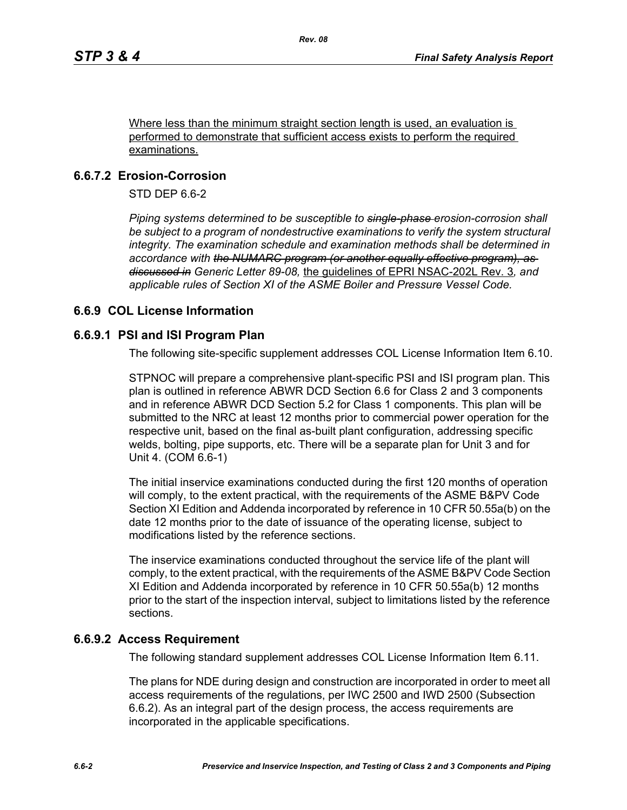Where less than the minimum straight section length is used, an evaluation is performed to demonstrate that sufficient access exists to perform the required examinations.

# **6.6.7.2 Erosion-Corrosion**

STD DEP 6.6-2

*Piping systems determined to be susceptible to single-phase erosion-corrosion shall be subject to a program of nondestructive examinations to verify the system structural integrity. The examination schedule and examination methods shall be determined in accordance with the NUMARC program (or another equally effective program), as discussed in Generic Letter 89-08,* the guidelines of EPRI NSAC-202L Rev. 3*, and applicable rules of Section XI of the ASME Boiler and Pressure Vessel Code.*

# **6.6.9 COL License Information**

### **6.6.9.1 PSI and ISI Program Plan**

The following site-specific supplement addresses COL License Information Item 6.10.

STPNOC will prepare a comprehensive plant-specific PSI and ISI program plan. This plan is outlined in reference ABWR DCD Section 6.6 for Class 2 and 3 components and in reference ABWR DCD Section 5.2 for Class 1 components. This plan will be submitted to the NRC at least 12 months prior to commercial power operation for the respective unit, based on the final as-built plant configuration, addressing specific welds, bolting, pipe supports, etc. There will be a separate plan for Unit 3 and for Unit 4. (COM 6.6-1)

The initial inservice examinations conducted during the first 120 months of operation will comply, to the extent practical, with the requirements of the ASME B&PV Code Section XI Edition and Addenda incorporated by reference in 10 CFR 50.55a(b) on the date 12 months prior to the date of issuance of the operating license, subject to modifications listed by the reference sections.

The inservice examinations conducted throughout the service life of the plant will comply, to the extent practical, with the requirements of the ASME B&PV Code Section XI Edition and Addenda incorporated by reference in 10 CFR 50.55a(b) 12 months prior to the start of the inspection interval, subject to limitations listed by the reference sections.

# **6.6.9.2 Access Requirement**

The following standard supplement addresses COL License Information Item 6.11.

The plans for NDE during design and construction are incorporated in order to meet all access requirements of the regulations, per IWC 2500 and IWD 2500 (Subsection 6.6.2). As an integral part of the design process, the access requirements are incorporated in the applicable specifications.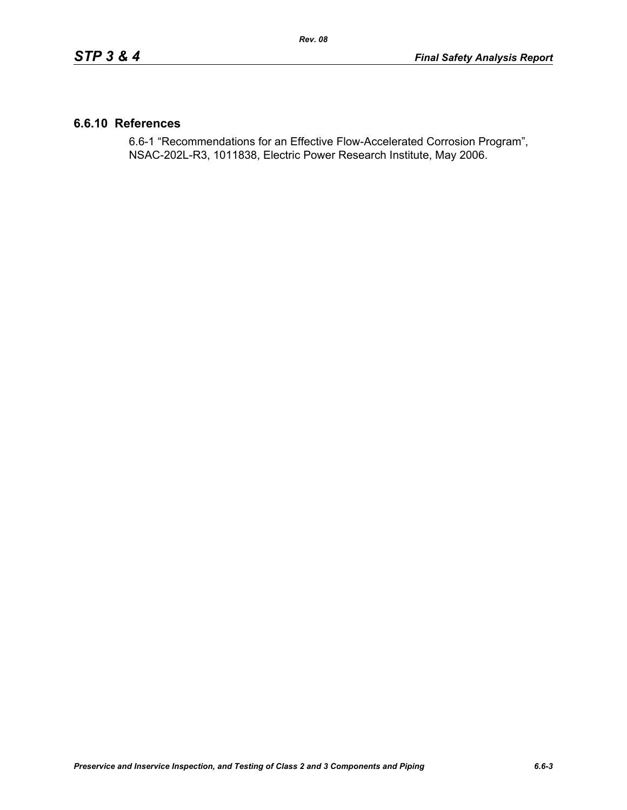### **6.6.10 References**

6.6-1 "Recommendations for an Effective Flow-Accelerated Corrosion Program", NSAC-202L-R3, 1011838, Electric Power Research Institute, May 2006.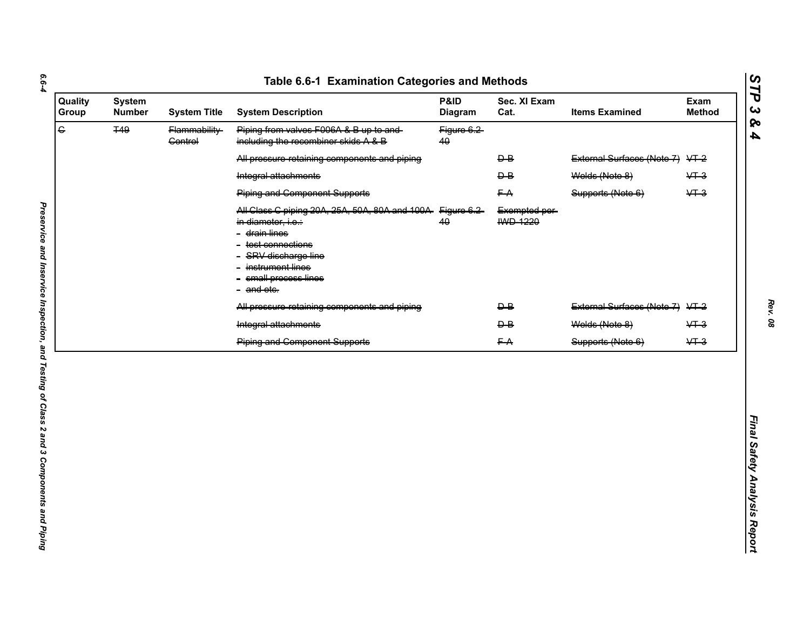| $\overline{G}$<br><b>T49</b><br>Piping from valves F006A & B up to and-<br>Flammability-<br>Figure 6.2<br>including the recombiner skids A & B<br><b>Control</b><br>40<br>All pressure retaining components and piping<br>$\overline{P}$<br>$\overline{B}$<br>Welds (Note 8)<br>Integral attachments<br><b>Piping and Component Supports</b><br>FA<br>Supports (Note 6)<br>All Class C piping 20A, 25A, 50A, 80A and 100A Figure 6.2<br>Exempted per-<br><b>IWD 1220</b><br>40<br>in diameter, i.e.:<br>- <del>drain lines</del><br>- <del>test connections</del><br>- SRV discharge line<br>instrument lines<br>- small process lines | External Surfaces (Note 7) VT-2<br>$&+3$<br>$&+3$ |
|----------------------------------------------------------------------------------------------------------------------------------------------------------------------------------------------------------------------------------------------------------------------------------------------------------------------------------------------------------------------------------------------------------------------------------------------------------------------------------------------------------------------------------------------------------------------------------------------------------------------------------------|---------------------------------------------------|
|                                                                                                                                                                                                                                                                                                                                                                                                                                                                                                                                                                                                                                        |                                                   |
|                                                                                                                                                                                                                                                                                                                                                                                                                                                                                                                                                                                                                                        |                                                   |
|                                                                                                                                                                                                                                                                                                                                                                                                                                                                                                                                                                                                                                        |                                                   |
|                                                                                                                                                                                                                                                                                                                                                                                                                                                                                                                                                                                                                                        |                                                   |
| - and ete.                                                                                                                                                                                                                                                                                                                                                                                                                                                                                                                                                                                                                             |                                                   |
| All pressure retaining components and piping<br>$\overline{B}$                                                                                                                                                                                                                                                                                                                                                                                                                                                                                                                                                                         | External Surfaces (Note 7) VT-2                   |
| Integral attachments<br>Welds (Note 8)<br>$\overline{P}$                                                                                                                                                                                                                                                                                                                                                                                                                                                                                                                                                                               | $&+3$                                             |
| <b>Piping and Component Supports</b><br>FA<br>Supports (Note 6)                                                                                                                                                                                                                                                                                                                                                                                                                                                                                                                                                                        | $&+3$                                             |

*STP 3 & 4*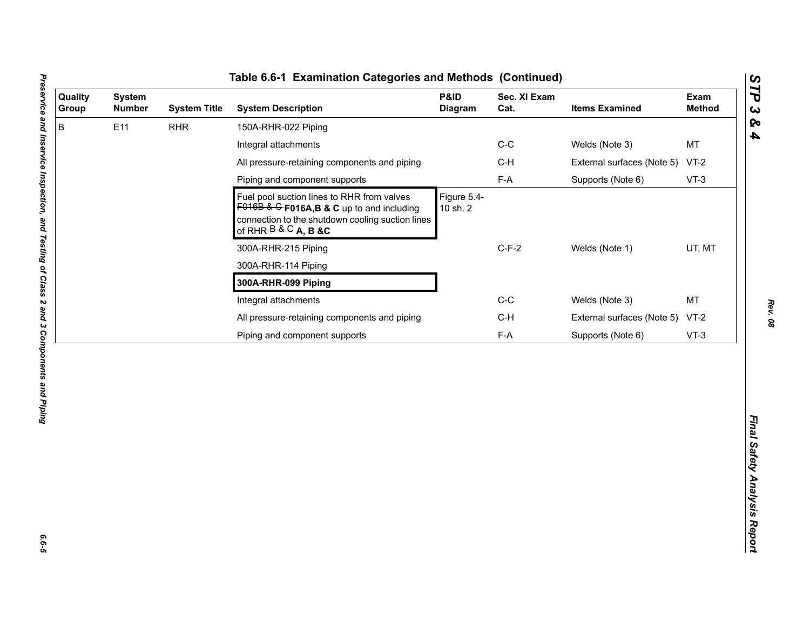| B<br>E11<br><b>RHR</b><br>150A-RHR-022 Piping<br>$C-C$<br>Welds (Note 3)<br>Integral attachments<br>$C-H$<br>All pressure-retaining components and piping<br>External surfaces (Note 5)<br>$F-A$<br>Piping and component supports<br>Supports (Note 6)<br>Figure 5.4-<br>Fuel pool suction lines to RHR from valves<br>$F016B$ & G F016A, B & C up to and including<br>10 sh. 2<br>connection to the shutdown cooling suction lines<br>of RHR $B & G$ A, B &C<br>$C-F-2$<br>Welds (Note 1)<br>300A-RHR-215 Piping<br>300A-RHR-114 Piping<br>300A-RHR-099 Piping<br>$C-C$<br>Integral attachments<br>Welds (Note 3)<br>All pressure-retaining components and piping<br>$C-H$<br>External surfaces (Note 5) | MT<br>$VT-2$<br>$VT-3$<br>UT, MT<br><b>MT</b><br>$VT-2$<br>$F-A$<br>Piping and component supports<br>Supports (Note 6)<br>$VT-3$ | <b>System</b><br><b>Number</b> | <b>System Title</b> | <b>System Description</b> | P&ID<br><b>Diagram</b> | Sec. XI Exam<br>Cat. | <b>Items Examined</b> | Exam<br><b>Method</b> |
|-----------------------------------------------------------------------------------------------------------------------------------------------------------------------------------------------------------------------------------------------------------------------------------------------------------------------------------------------------------------------------------------------------------------------------------------------------------------------------------------------------------------------------------------------------------------------------------------------------------------------------------------------------------------------------------------------------------|----------------------------------------------------------------------------------------------------------------------------------|--------------------------------|---------------------|---------------------------|------------------------|----------------------|-----------------------|-----------------------|
|                                                                                                                                                                                                                                                                                                                                                                                                                                                                                                                                                                                                                                                                                                           |                                                                                                                                  |                                |                     |                           |                        |                      |                       |                       |
|                                                                                                                                                                                                                                                                                                                                                                                                                                                                                                                                                                                                                                                                                                           |                                                                                                                                  |                                |                     |                           |                        |                      |                       |                       |
|                                                                                                                                                                                                                                                                                                                                                                                                                                                                                                                                                                                                                                                                                                           |                                                                                                                                  |                                |                     |                           |                        |                      |                       |                       |
|                                                                                                                                                                                                                                                                                                                                                                                                                                                                                                                                                                                                                                                                                                           |                                                                                                                                  |                                |                     |                           |                        |                      |                       |                       |
|                                                                                                                                                                                                                                                                                                                                                                                                                                                                                                                                                                                                                                                                                                           |                                                                                                                                  |                                |                     |                           |                        |                      |                       |                       |
|                                                                                                                                                                                                                                                                                                                                                                                                                                                                                                                                                                                                                                                                                                           |                                                                                                                                  |                                |                     |                           |                        |                      |                       |                       |
|                                                                                                                                                                                                                                                                                                                                                                                                                                                                                                                                                                                                                                                                                                           |                                                                                                                                  |                                |                     |                           |                        |                      |                       |                       |
|                                                                                                                                                                                                                                                                                                                                                                                                                                                                                                                                                                                                                                                                                                           |                                                                                                                                  |                                |                     |                           |                        |                      |                       |                       |
|                                                                                                                                                                                                                                                                                                                                                                                                                                                                                                                                                                                                                                                                                                           |                                                                                                                                  |                                |                     |                           |                        |                      |                       |                       |
|                                                                                                                                                                                                                                                                                                                                                                                                                                                                                                                                                                                                                                                                                                           |                                                                                                                                  |                                |                     |                           |                        |                      |                       |                       |
|                                                                                                                                                                                                                                                                                                                                                                                                                                                                                                                                                                                                                                                                                                           |                                                                                                                                  |                                |                     |                           |                        |                      |                       |                       |
|                                                                                                                                                                                                                                                                                                                                                                                                                                                                                                                                                                                                                                                                                                           |                                                                                                                                  |                                |                     |                           |                        |                      |                       |                       |

L

*STP 3 & 4*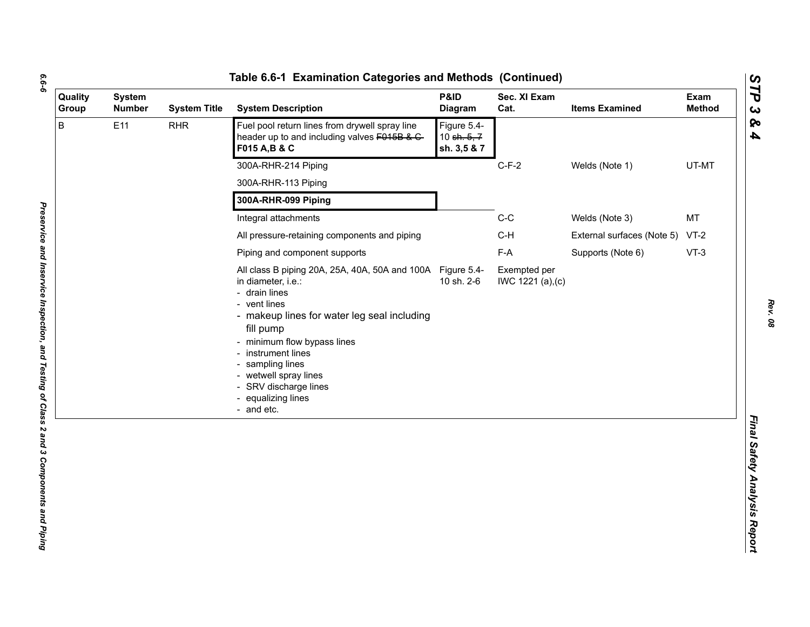| ۰. |
|----|
| ۰. |
|    |

| Quality<br>Group | <b>System</b><br><b>Number</b> | <b>System Title</b> | <b>System Description</b>                                                                                                                                                                                                                                                                                                                    | P&ID<br>Diagram                             | Sec. XI Exam<br>Cat.             | <b>Items Examined</b>           | Exam<br><b>Method</b> |
|------------------|--------------------------------|---------------------|----------------------------------------------------------------------------------------------------------------------------------------------------------------------------------------------------------------------------------------------------------------------------------------------------------------------------------------------|---------------------------------------------|----------------------------------|---------------------------------|-----------------------|
| B                | E11                            | <b>RHR</b>          | Fuel pool return lines from drywell spray line<br>header up to and including valves F015B & C-<br>F015 A, B & C                                                                                                                                                                                                                              | Figure 5.4-<br>10 sh. $5, 7$<br>sh. 3,5 & 7 |                                  |                                 |                       |
|                  |                                |                     | 300A-RHR-214 Piping                                                                                                                                                                                                                                                                                                                          |                                             | $C-F-2$                          | Welds (Note 1)                  | UT-MT                 |
|                  |                                |                     | 300A-RHR-113 Piping                                                                                                                                                                                                                                                                                                                          |                                             |                                  |                                 |                       |
|                  |                                |                     | 300A-RHR-099 Piping                                                                                                                                                                                                                                                                                                                          |                                             |                                  |                                 |                       |
|                  |                                |                     | Integral attachments                                                                                                                                                                                                                                                                                                                         |                                             | $C-C$                            | Welds (Note 3)                  | <b>MT</b>             |
|                  |                                |                     | All pressure-retaining components and piping                                                                                                                                                                                                                                                                                                 |                                             | $C-H$                            | External surfaces (Note 5) VT-2 |                       |
|                  |                                |                     | Piping and component supports                                                                                                                                                                                                                                                                                                                |                                             | F-A                              | Supports (Note 6)               | $VT-3$                |
|                  |                                |                     | All class B piping 20A, 25A, 40A, 50A and 100A Figure 5.4-<br>in diameter, i.e.:<br>- drain lines<br>- vent lines<br>- makeup lines for water leg seal including<br>fill pump<br>- minimum flow bypass lines<br>- instrument lines<br>- sampling lines<br>- wetwell spray lines<br>- SRV discharge lines<br>- equalizing lines<br>- and etc. | 10 sh. 2-6                                  | Exempted per<br>IWC 1221 (a),(c) |                                 |                       |
|                  |                                |                     |                                                                                                                                                                                                                                                                                                                                              |                                             |                                  |                                 |                       |

*Rev. 08*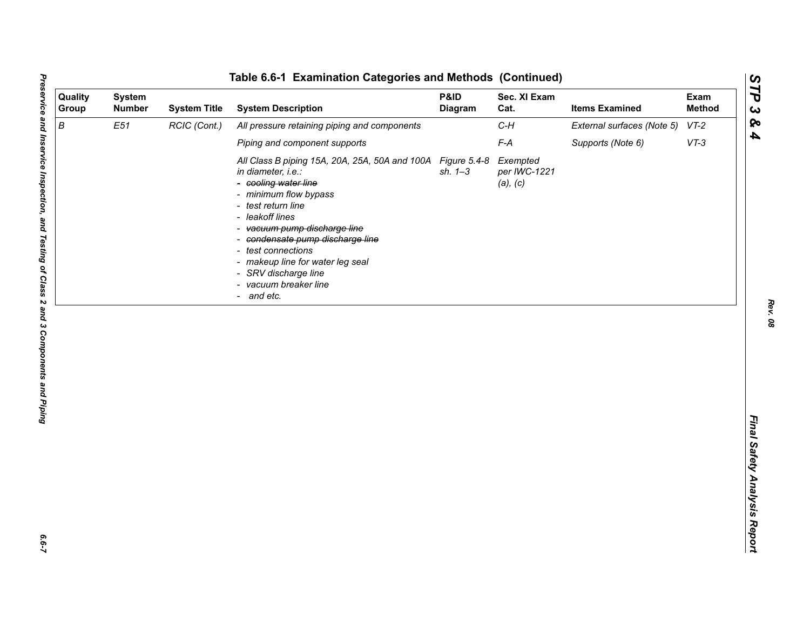| Quality<br>Group | <b>System</b><br><b>Number</b> | <b>System Title</b> | <b>System Description</b>                                                                                                                                                                                                                                                                                                                                   | P&ID<br><b>Diagram</b>      | Sec. XI Exam<br>Cat.                 | <b>Items Examined</b>      | Exam<br><b>Method</b> |
|------------------|--------------------------------|---------------------|-------------------------------------------------------------------------------------------------------------------------------------------------------------------------------------------------------------------------------------------------------------------------------------------------------------------------------------------------------------|-----------------------------|--------------------------------------|----------------------------|-----------------------|
| B                | E51                            | RCIC (Cont.)        | All pressure retaining piping and components                                                                                                                                                                                                                                                                                                                |                             | $C-H$                                | External surfaces (Note 5) | $VT-2$                |
|                  |                                |                     | Piping and component supports                                                                                                                                                                                                                                                                                                                               |                             | $F-A$                                | Supports (Note 6)          | $VT-3$                |
|                  |                                |                     | All Class B piping 15A, 20A, 25A, 50A and 100A<br>in diameter, i.e.:<br>- cooling water line<br>- minimum flow bypass<br>- test return line<br>- leakoff lines<br>- vacuum pump discharge line<br>- condensate pump discharge line<br>- test connections<br>- makeup line for water leg seal<br>- SRV discharge line<br>- vacuum breaker line<br>- and etc. | Figure 5.4-8<br>$sh. 1 - 3$ | Exempted<br>per IWC-1221<br>(a), (c) |                            |                       |
|                  |                                |                     |                                                                                                                                                                                                                                                                                                                                                             |                             |                                      |                            |                       |

*Rev. 08*